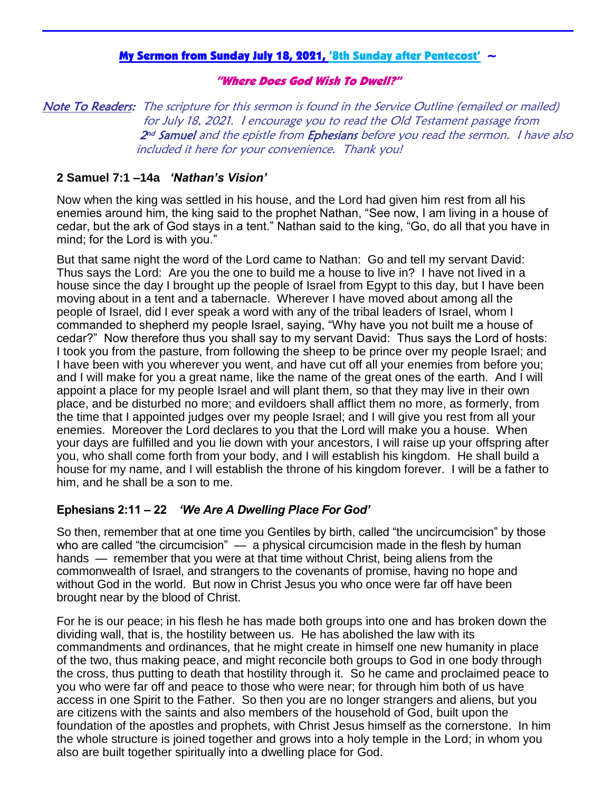### My Sermon from Sunday July 18, 2021, '8th Sunday after Pentecost'  $\sim$

#### "Where Does God Wish To Dwell?"

Note To Readers: The scripture for this sermon is found in the Service Outline (emailed or mailed) for July 18, 2021. I encourage you to read the Old Testament passage from 2<sup>nd</sup> Samuel and the epistle from Ephesians before you read the sermon. I have also included it here for your convenience. Thank you!

### **2 Samuel 7:1 ‒14a** *'Nathan's Vision'*

Now when the king was settled in his house, and the Lord had given him rest from all his enemies around him, the king said to the prophet Nathan, "See now, I am living in a house of cedar, but the ark of God stays in a tent." Nathan said to the king, "Go, do all that you have in mind; for the Lord is with you."

But that same night the word of the Lord came to Nathan: Go and tell my servant David: Thus says the Lord: Are you the one to build me a house to live in? I have not lived in a house since the day I brought up the people of Israel from Egypt to this day, but I have been moving about in a tent and a tabernacle. Wherever I have moved about among all the people of Israel, did I ever speak a word with any of the tribal leaders of Israel, whom I commanded to shepherd my people Israel, saying, "Why have you not built me a house of cedar?" Now therefore thus you shall say to my servant David: Thus says the Lord of hosts: I took you from the pasture, from following the sheep to be prince over my people Israel; and I have been with you wherever you went, and have cut off all your enemies from before you; and I will make for you a great name, like the name of the great ones of the earth. And I will appoint a place for my people Israel and will plant them, so that they may live in their own place, and be disturbed no more; and evildoers shall afflict them no more, as formerly, from the time that I appointed judges over my people Israel; and I will give you rest from all your enemies. Moreover the Lord declares to you that the Lord will make you a house. When your days are fulfilled and you lie down with your ancestors, I will raise up your offspring after you, who shall come forth from your body, and I will establish his kingdom. He shall build a house for my name, and I will establish the throne of his kingdom forever. I will be a father to him, and he shall be a son to me.

## **Ephesians 2:11 ‒ 22** *'We Are A Dwelling Place For God'*

So then, remember that at one time you Gentiles by birth, called "the uncircumcision" by those who are called "the circumcision"  $-$  a physical circumcision made in the flesh by human hands — remember that you were at that time without Christ, being aliens from the commonwealth of Israel, and strangers to the covenants of promise, having no hope and without God in the world. But now in Christ Jesus you who once were far off have been brought near by the blood of Christ.

For he is our peace; in his flesh he has made both groups into one and has broken down the dividing wall, that is, the hostility between us. He has abolished the law with its commandments and ordinances, that he might create in himself one new humanity in place of the two, thus making peace, and might reconcile both groups to God in one body through the cross, thus putting to death that hostility through it. So he came and proclaimed peace to you who were far off and peace to those who were near; for through him both of us have access in one Spirit to the Father. So then you are no longer strangers and aliens, but you are citizens with the saints and also members of the household of God, built upon the foundation of the apostles and prophets, with Christ Jesus himself as the cornerstone. In him the whole structure is joined together and grows into a holy temple in the Lord; in whom you also are built together spiritually into a dwelling place for God.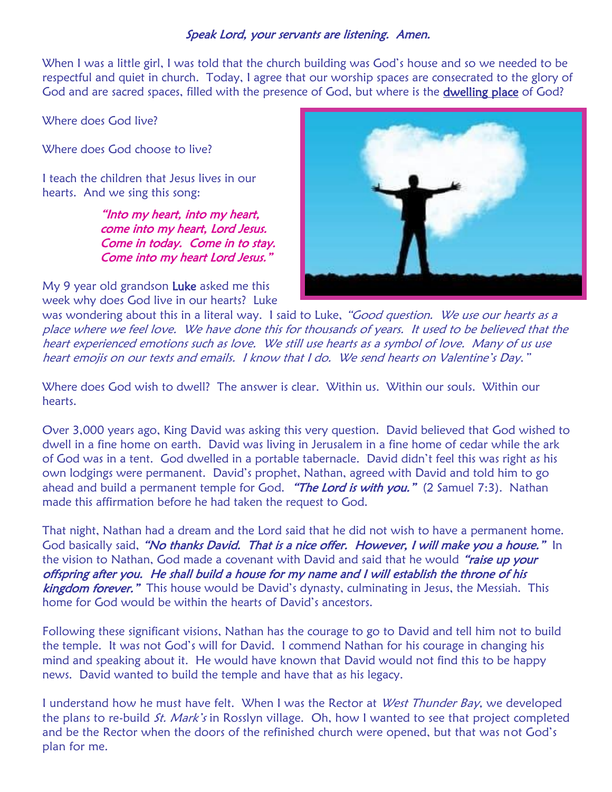# Speak Lord, your servants are listening. Amen.

When I was a little girl, I was told that the church building was God's house and so we needed to be respectful and quiet in church. Today, I agree that our worship spaces are consecrated to the glory of God and are sacred spaces, filled with the presence of God, but where is the **dwelling place** of God?

Where does God live?

Where does God choose to live?

I teach the children that Jesus lives in our hearts. And we sing this song:

> "Into my heart, into my heart, come into my heart, Lord Jesus. Come in today. Come in to stay. Come into my heart Lord Jesus."

My 9 year old grandson **Luke** asked me this week why does God live in our hearts? Luke



was wondering about this in a literal way. I said to Luke, "Good question. We use our hearts as a place where we feel love. We have done this for thousands of years. It used to be believed that the heart experienced emotions such as love. We still use hearts as a symbol of love. Many of us use heart emojis on our texts and emails. I know that I do. We send hearts on Valentine's Day."

Where does God wish to dwell? The answer is clear. Within us. Within our souls. Within our hearts.

Over 3,000 years ago, King David was asking this very question. David believed that God wished to dwell in a fine home on earth. David was living in Jerusalem in a fine home of cedar while the ark of God was in a tent. God dwelled in a portable tabernacle. David didn't feel this was right as his own lodgings were permanent. David's prophet, Nathan, agreed with David and told him to go ahead and build a permanent temple for God. "The Lord is with you." (2 Samuel 7:3). Nathan made this affirmation before he had taken the request to God.

That night, Nathan had a dream and the Lord said that he did not wish to have a permanent home. God basically said, "No thanks David. That is a nice offer. However, I will make you a house." In the vision to Nathan, God made a covenant with David and said that he would "raise up your offspring after you. He shall build a house for my name and I will establish the throne of his kingdom forever." This house would be David's dynasty, culminating in Jesus, the Messiah. This home for God would be within the hearts of David's ancestors.

Following these significant visions, Nathan has the courage to go to David and tell him not to build the temple. It was not God's will for David. I commend Nathan for his courage in changing his mind and speaking about it. He would have known that David would not find this to be happy news. David wanted to build the temple and have that as his legacy.

I understand how he must have felt. When I was the Rector at West Thunder Bay, we developed the plans to re-build *St. Mark's* in Rosslyn village. Oh, how I wanted to see that project completed and be the Rector when the doors of the refinished church were opened, but that was not God's plan for me.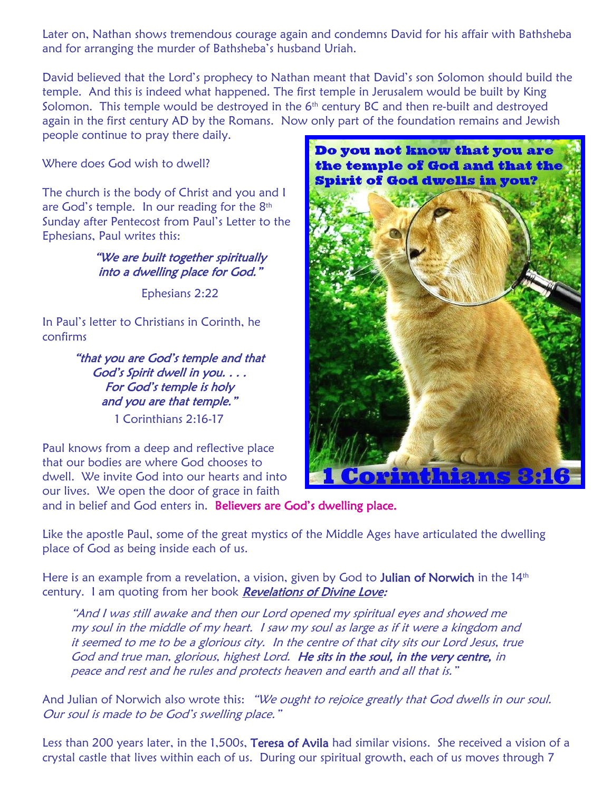Later on, Nathan shows tremendous courage again and condemns David for his affair with Bathsheba and for arranging the murder of Bathsheba's husband Uriah.

David believed that the Lord's prophecy to Nathan meant that David's son Solomon should build the temple. And this is indeed what happened. The first temple in Jerusalem would be built by King Solomon. This temple would be destroyed in the 6<sup>th</sup> century BC and then re-built and destroyed again in the first century AD by the Romans. Now only part of the foundation remains and Jewish people continue to pray there daily.

Where does God wish to dwell?

The church is the body of Christ and you and I are God's temple. In our reading for the 8<sup>th</sup> Sunday after Pentecost from Paul's Letter to the Ephesians, Paul writes this:

> "We are built together spiritually into a dwelling place for God."

> > Ephesians 2:22

In Paul's letter to Christians in Corinth, he confirms

> "that you are God's temple and that God's Spirit dwell in you. . . . For God's temple is holy and you are that temple." 1 Corinthians 2:16-17

Paul knows from a deep and reflective place that our bodies are where God chooses to dwell. We invite God into our hearts and into our lives. We open the door of grace in faith

Do you not know that you are the temple of God and that the **Spirit of God dwells in you?** 

and in belief and God enters in. Believers are God's dwelling place.

Like the apostle Paul, some of the great mystics of the Middle Ages have articulated the dwelling place of God as being inside each of us.

Here is an example from a revelation, a vision, given by God to Julian of Norwich in the 14<sup>th</sup> century. I am quoting from her book Revelations of Divine Love:

"And I was still awake and then our Lord opened my spiritual eyes and showed me my soul in the middle of my heart. I saw my soul as large as if it were a kingdom and it seemed to me to be a glorious city. In the centre of that city sits our Lord Jesus, true God and true man, glorious, highest Lord. He sits in the soul, in the very centre, in peace and rest and he rules and protects heaven and earth and all that is."

And Julian of Norwich also wrote this: "We ought to rejoice greatly that God dwells in our soul. Our soul is made to be God's swelling place."

Less than 200 years later, in the 1,500s, Teresa of Avila had similar visions. She received a vision of a crystal castle that lives within each of us. During our spiritual growth, each of us moves through 7